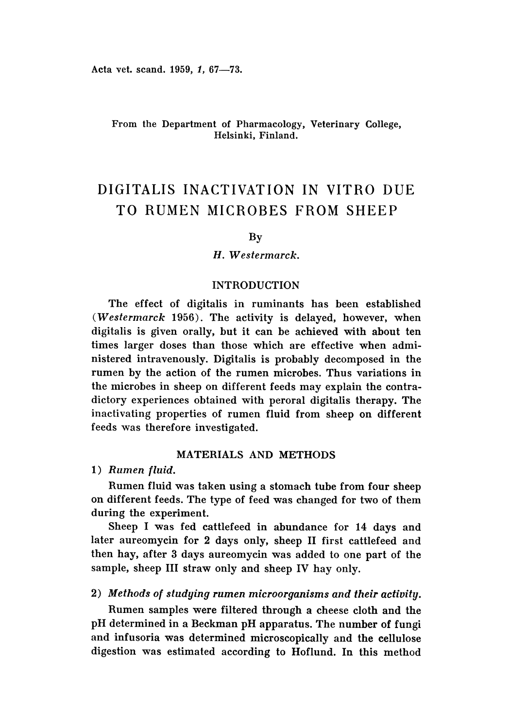# From the Department of Pharmacology, Veterinary College, Helsinki, Finland.

# DIGITALIS INACTIVATION IN VITRO DUE TO RUMEN MICROBES FROM SHEEP

# By

## *H. Westermarck.*

# INTRODUCTION

The effect of digitalis in ruminants has been established (Westermarck 1956). The activity is delayed, however, when digitalis is given orally, but it can be achieved with about ten times larger doses than those which are effective when administered intravenously. Digitalis is probably decomposed in the rumen by the action of the rumen microbes. Thus variations in the microbes in sheep on different feeds may explain the contradictory experiences obtained with peroral digitalis therapy. The inactivating properties of rumen fluid from sheep on different feeds was therefore investigated.

## MATERIALS AND METHODS

## *1) Rumen fluid.*

Rumen fluid was taken using a stomach tube from four sheep on different feeds. The type of feed was changed for two of them during the experiment.

Sheep I was fed cattlefeed in abundance for 14 days and later aureomycin for 2 days only, sheep II first cattlefeed and then hay, after 3 days aureomycin was added to one part of the sample, sheep III straw only and sheep IV hay only.

# 2) *Methods of studying rumen microorganisms and their activity.*

Rumen samples were filtered through a cheese cloth and the pH determined in a Beckman pH apparatus. The number of fungi and infusoria was determined microscopically and the cellulose digestion was estimated according to Hoflund. In this method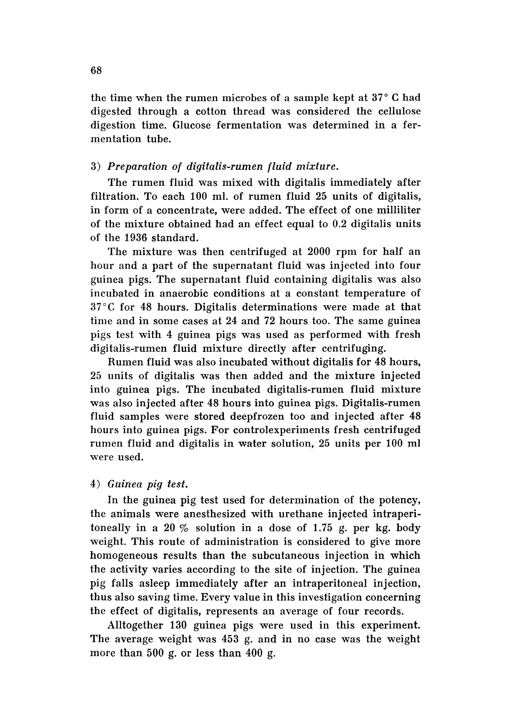the time when the rumen microbes of a sample kept at  $37^{\circ}$  C had digested through a cotton thread was considered the cellulose digestion time. Glucose fermentation was determined in a fermentation tube.

# *3) Preparation of digitalis-rumen fluid mixture.*

The rumen fluid was mixed with digitalis immediately after filtration. To each 100 ml. of rumen fluid 25 units of digitalis, in form of a concentrate, were added. The effect of one milliliter of the mixture obtained had an effect equal to 0.2 digitalis units of the 1936 standard.

The mixture was then centrifuged at 2000 rpm for half an hour and a part of the supernatant fluid was injected into four guinea pigs. The supernatant fluid containing digitalis was also incubated in anaerobic conditions at a constant temperature of 37 °C for 48 hours. Digitalis determinations were made at that time and in some cases at 24 and 72 hours too. The same guinea pigs test with 4 guinea pigs was used as performed with fresh digitalis-rumen fluid mixture directly after centrifuging.

Rumen fluid was also incubated without digitalis for 48 hours, 25 units of digitalis was then added and the mixture injected into guinea pigs. The incubated digitalis-rumen fluid mixture was also injected after 48 hours into guinea pigs. Digitalis-rumen fluid samples were stored deepfrozen too and injected after 48 hours into guinea pigs. For controlexperiments fresh centrifuged rumen fluid and digitalis in water solution, 25 units per 100 ml were used.

# *4) Guinea pig test.*

In the guinea pig test used for determination of the potency, the animals were anesthesized with urethane injected intraperitoneally in a 20  $\%$  solution in a dose of 1.75 g. per kg. body weight. This route of administration is considered to give more homogeneous results than the subcutaneous injection in which the activity varies according to the site of injection. The guinea pig falls asleep immediately after an intraperitoneal injection, thus also saving time. Every value in this investigation concerning the effect of digitalis, represents an average of four records.

AIItogether 130 guinea pigs were used in this experiment. The average weight was 453 g. and in no case was the weight more than 500 g. or less than 400 g.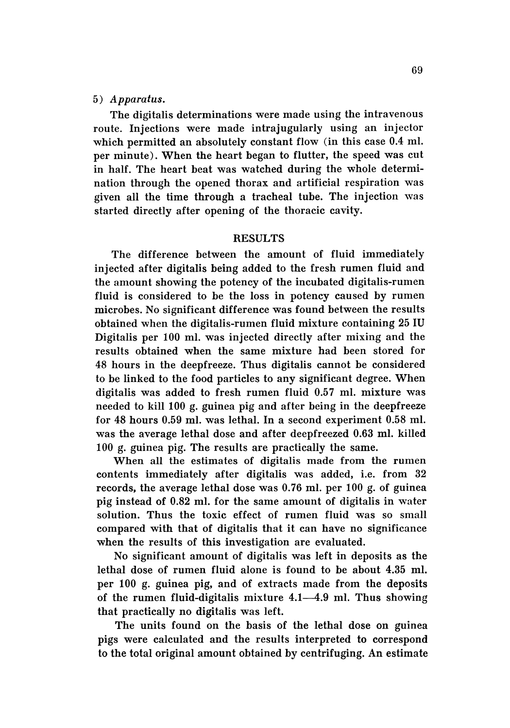#### *5) Apparatus.*

The digitalis determinations were made using the intravenous route. Injections were made intrajugularly using an injector which permitted an absolutely constant flow (in this case 0.4 ml. per minute). When the heart began to flutter, the speed was cut in half. The heart beat was watched during the whole determination through the opened thorax and artificial respiration was given all the time through a tracheal tube. The injection was started directly after opening of the thoracic cavity.

#### RESULTS

The difference between the amount of fluid immediately injected after digitalis being added to the fresh rumen fluid and the amount showing the potency of the incubated digitalis-rumen fluid is considered to be the loss in potency caused by rumen microbes. No significant difference was found between the results obtained when the digitalis-rumen fluid mixture containing 25 IV Digitalis per 100 ml. was injected directly after mixing and the results obtained when the same mixture had been stored for 48 hours in the deepfreeze. Thus digitalis cannot be considered to be linked to the food particles to any significant degree. When digitalis was added to fresh rumen fluid 0.57 ml. mixture was needed to kill 100 g. guinea pig and after being in the deepfreeze for 48 hours 0.59 ml. was lethal. In a second experiment 0.58 ml. was the average lethal dose and after deepfreezed 0.63 ml. killed 100 g. guinea pig. The results are practically the same.

When all the estimates of digitalis made from the rumen contents immediately after digitalis was added, i.e, from 32 records, the average lethal dose was 0.76 ml. per 100 g. of guinea pig instead of 0.82 ml. for the same amount of digitalis in water solution. Thus the toxic effect of rumen fluid was so small compared with that of digitalis that it can have no significance when the results of this investigation are evaluated.

No significant amount of digitalis was left in deposits as the lethal dose of rumen fluid alone is found to be about 4.35 ml. per 100 g. guinea pig, and of extracts made from the deposits of the rumen fluid-digitalis mixture  $4.1-4.9$  ml. Thus showing that practically no digitalis was left.

The units found on the basis of the lethal dose on guinea pigs were calculated and the results interpreted to correspond to the total original amount obtained by centrifuging. An estimate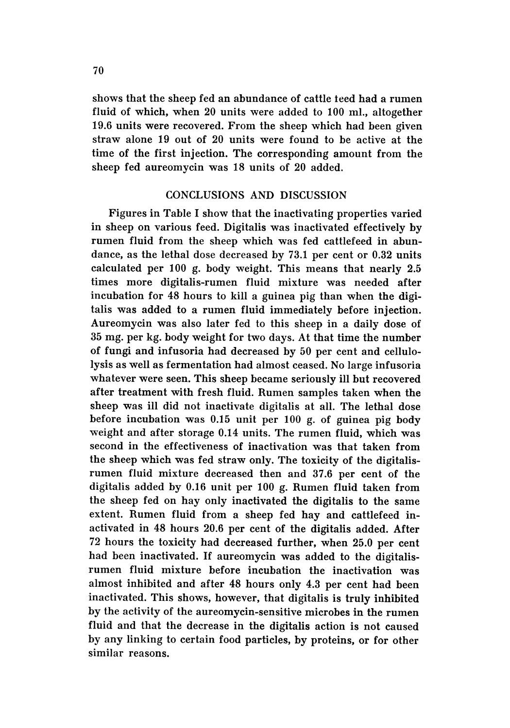shows that the sheep fed an abundance of cattle teed had a rumen fluid of which, when 20 units were added to 100 mI., altogether 19.6 units were recovered. From the sheep which had been given straw alone 19 out of 20 units were found to be active at the time of the first injection. The corresponding amount from the sheep fed aureomycin was 18 units of 20 added.

#### CONCLUSIONS AND DISCUSSION

Figures in Table I show that the inactivating properties varied in sheep on various feed. Digitalis was inactivated effectively by rumen fluid from the sheep which was fed cattlefeed in abundance, as the lethal dose decreased by 73.1 per cent or 0.32 units calculated per 100 g. body weight. This means that nearly 2.5 times more digitalis-rumen fluid mixture was needed after incubation for 48 hours to kill a guinea pig than when the digitalis was added to a rumen fluid immediately before injection. Aureomycin was also later fed to this sheep in a daily dose of 35 mg. per kg. body weight for two days. At that time the number of fungi and infusoria had decreased by 50 per cent and cellulolysis as well as fermentation had almost ceased. No large infusoria whatever were seen. This sheep became seriously ill but recovered after treatment with fresh fluid. Rumen samples taken when the sheep was ill did not inactivate digitalis at all. The lethal dose before incubation was 0.15 unit per 100 g. of guinea pig body weight and after storage 0.14 units. The rumen fluid, which was second in the effectiveness of inactivation was that taken from the sheep which was fed straw only. The toxicity of the digitalisrumen fluid mixture decreased then and 37.6 per cent of the digitalis added by 0.16 unit per 100 g. Rumen fluid taken from the sheep fed on hay only inactivated the digitalis to the same extent. Rumen fluid from a sheep fed hay and cattlefeed inactivated in 48 hours 20.6 per cent of the digitalis added. After 72 hours the toxicity had decreased further, when 25.0 per cent had been inactivated. If aureomycin was added to the digitalisrumen fluid mixture before incubation the inactivation was almost inhibited and after 48 hours only 4.3 per cent had been inactivated. This shows, however, that digitalis is truly inhibited by the activity of the aureomycin-sensitive microbes in the rumen fluid and that the decrease in the digitalis action is not caused by any linking to certain food particles, by proteins, or for other similar reasons.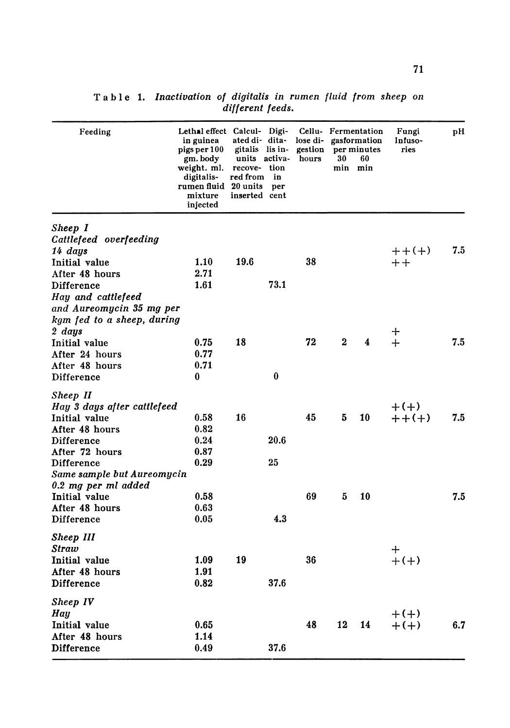| Feeding                     | Lethal effect Calcul- Digi-<br>in guinea<br>pigs per 100<br>gm. body<br>weight. ml.<br>digitalis-<br>rumen fluid 20 units<br>mixture<br>injected | ated di- dita-<br>gitalis lis in-<br>units activa-<br>recove- tion<br>red from in<br>inserted cent | per      | lose di- gasformation<br>gestion<br>hours | 30           | Cellu- Fermentation<br>per minutes<br>60<br>min min | Fungi<br>Infuso-<br>ries | pН  |
|-----------------------------|--------------------------------------------------------------------------------------------------------------------------------------------------|----------------------------------------------------------------------------------------------------|----------|-------------------------------------------|--------------|-----------------------------------------------------|--------------------------|-----|
| Sheep I                     |                                                                                                                                                  |                                                                                                    |          |                                           |              |                                                     |                          |     |
| Cattlefeed overfeeding      |                                                                                                                                                  |                                                                                                    |          |                                           |              |                                                     |                          |     |
| 14 days                     |                                                                                                                                                  |                                                                                                    |          |                                           |              |                                                     | $++(+)$                  | 7.5 |
| Initial value               | 1.10                                                                                                                                             | 19.6                                                                                               |          | 38                                        |              |                                                     | $++$                     |     |
| After 48 hours              | 2.71                                                                                                                                             |                                                                                                    |          |                                           |              |                                                     |                          |     |
| <b>Difference</b>           | 1.61                                                                                                                                             |                                                                                                    | 73.1     |                                           |              |                                                     |                          |     |
| Hay and cattlefeed          |                                                                                                                                                  |                                                                                                    |          |                                           |              |                                                     |                          |     |
| and Aureomycin 35 mg per    |                                                                                                                                                  |                                                                                                    |          |                                           |              |                                                     |                          |     |
| kgm fed to a sheep, during  |                                                                                                                                                  |                                                                                                    |          |                                           |              |                                                     |                          |     |
| 2 days                      |                                                                                                                                                  |                                                                                                    |          |                                           |              |                                                     | ┿                        |     |
| Initial value               | 0.75                                                                                                                                             | 18                                                                                                 |          | 72                                        | $\mathbf{2}$ | $\overline{\mathbf{4}}$                             | $+$                      | 7.5 |
| After 24 hours              | 0.77                                                                                                                                             |                                                                                                    |          |                                           |              |                                                     |                          |     |
| After 48 hours              | 0.71                                                                                                                                             |                                                                                                    |          |                                           |              |                                                     |                          |     |
| Difference                  | 0                                                                                                                                                |                                                                                                    | $\bf{0}$ |                                           |              |                                                     |                          |     |
|                             |                                                                                                                                                  |                                                                                                    |          |                                           |              |                                                     |                          |     |
| Sheep II                    |                                                                                                                                                  |                                                                                                    |          |                                           |              |                                                     |                          |     |
| Hay 3 days after cattlefeed |                                                                                                                                                  |                                                                                                    |          |                                           |              |                                                     | $+(+)$                   |     |
| Initial value               | 0.58                                                                                                                                             | 16                                                                                                 |          | 45                                        | 5            | 10                                                  | $+ + (+)$                | 7.5 |
| After 48 hours              | 0.82                                                                                                                                             |                                                                                                    |          |                                           |              |                                                     |                          |     |
| Difference                  | 0.24                                                                                                                                             |                                                                                                    | 20.6     |                                           |              |                                                     |                          |     |
| After 72 hours              | 0.87                                                                                                                                             |                                                                                                    |          |                                           |              |                                                     |                          |     |
| <b>Difference</b>           | 0.29                                                                                                                                             |                                                                                                    | 25       |                                           |              |                                                     |                          |     |
| Same sample but Aureomycin  |                                                                                                                                                  |                                                                                                    |          |                                           |              |                                                     |                          |     |
| 0.2 mg per ml added         |                                                                                                                                                  |                                                                                                    |          |                                           |              |                                                     |                          |     |
| Initial value               | 0.58                                                                                                                                             |                                                                                                    |          | 69                                        | 5            | 10                                                  |                          | 7.5 |
| After 48 hours              | 0.63                                                                                                                                             |                                                                                                    |          |                                           |              |                                                     |                          |     |
| Difference                  | 0.05                                                                                                                                             |                                                                                                    | 4.3      |                                           |              |                                                     |                          |     |
| Sheep III                   |                                                                                                                                                  |                                                                                                    |          |                                           |              |                                                     |                          |     |
| <b>Straw</b>                |                                                                                                                                                  |                                                                                                    |          |                                           |              |                                                     |                          |     |
| Initial value               | 1.09                                                                                                                                             | 19                                                                                                 |          | 36                                        |              |                                                     | ┿<br>$+(+)$              |     |
| After 48 hours              | 1.91                                                                                                                                             |                                                                                                    |          |                                           |              |                                                     |                          |     |
| <b>Difference</b>           | 0.82                                                                                                                                             |                                                                                                    | 37.6     |                                           |              |                                                     |                          |     |
|                             |                                                                                                                                                  |                                                                                                    |          |                                           |              |                                                     |                          |     |
| Sheep IV                    |                                                                                                                                                  |                                                                                                    |          |                                           |              |                                                     |                          |     |
| Hay                         |                                                                                                                                                  |                                                                                                    |          |                                           |              |                                                     | $+(+)$                   |     |
| Initial value               | 0.65                                                                                                                                             |                                                                                                    |          | 48                                        | 12           | 14                                                  | $+(+)$                   | 6.7 |
| After 48 hours              | 1.14                                                                                                                                             |                                                                                                    |          |                                           |              |                                                     |                          |     |
| <b>Difference</b>           | 0.49                                                                                                                                             |                                                                                                    | 37.6     |                                           |              |                                                     |                          |     |

**Table 1.** *Inactivation of digitalis in rumen fluid from sheep on different feeds.*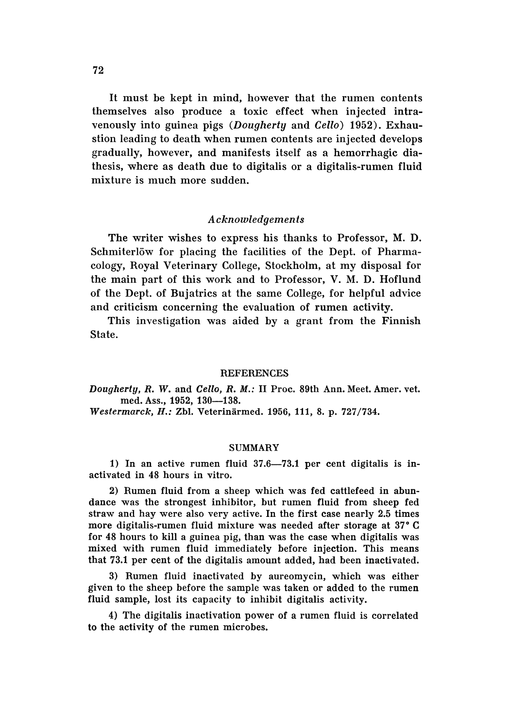It must be kept in mind, however that the rumen contents themselves also produce a toxic effect when injected intravenously into guinea pigs *(Dougherty* and *Cello)* 1952). Exhaustion leading to death when rumen contents are injected develops gradually, however, and manifests itself as a hemorrhagic diathesis, where as death due to digitalis or a digitalis-rumen fluid mixture is much more sudden.

## *Acknowledgements*

The writer wishes to express his thanks to Professor, M. D. Schmiterlöw for placing the facilities of the Dept. of Pharmacology, Royal Veterinary College, Stockholm, at my disposal for the main part of this work and to Professor, V. M. D. Hoflund of the Dept. of Bujatrics at the same College, for helpful advice and criticism concerning the evaluation of rumen activity.

This investigation was aided by a grant from the Finnish State.

#### **REFERENCES**

*Dougherty, R.* W. and *Cello, R. M.:* II Proc, 89th Ann. Meet. Amer. vet. med. Ass., 1952, 130-138.

*Westermarck, H.:* Zbl. Vetermarmed. 1956, 111, 8. p. 727/734.

#### SUMMARY

1) In an active rumen fluid  $37.6-73.1$  per cent digitalis is inactivated in 48 hours in vitro.

2) Rumen fluid from a sheep which was fed cattlefeed in abundance was the strongest inhibitor, but rumen fluid from sheep fed straw and hay were also very active. In the first case nearly 2.5 times more digitalis-rumen fluid mixture was needed after storage at 37°C for 48 hours to kill a guinea pig, than was the case when digitalis was mixed with rumen fluid immediately before injection. This means that 73.1 per cent of the digitalis amount added, had been inactivated.

3) Rumen fluid inactivated by aureomycin, which was either given to the sheep before the sample was taken or added to the rumen fluid sample, lost its capacity to inhibit digitalis activity.

4) The digitalis inactivation power of a rumen fluid is correlated to the activity of the rumen microbes.